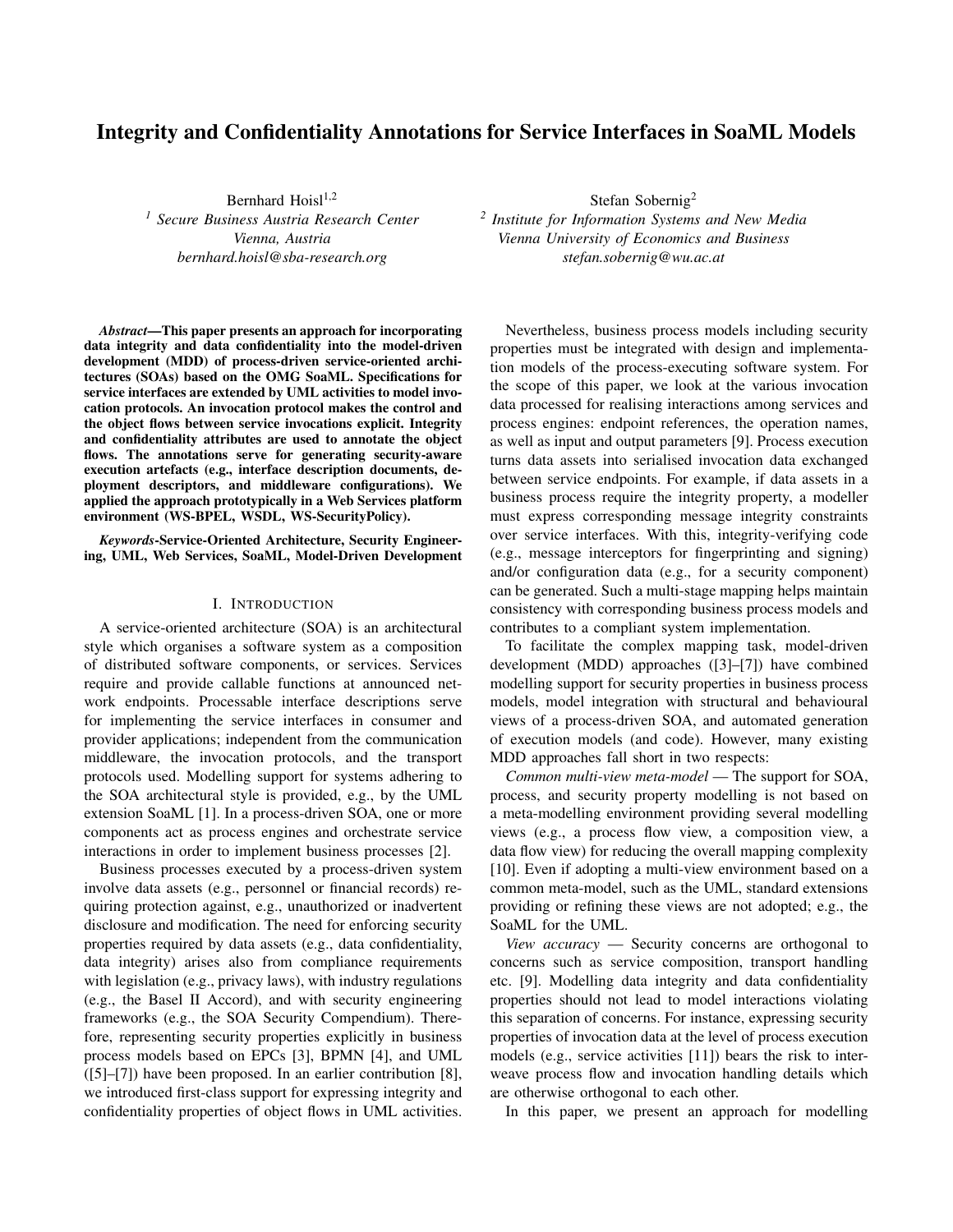# Integrity and Confidentiality Annotations for Service Interfaces in SoaML Models

Bernhard Hois $l^{1,2}$ *<sup>1</sup> Secure Business Austria Research Center Vienna, Austria bernhard.hoisl@sba-research.org*

*Abstract*—This paper presents an approach for incorporating data integrity and data confidentiality into the model-driven development (MDD) of process-driven service-oriented architectures (SOAs) based on the OMG SoaML. Specifications for service interfaces are extended by UML activities to model invocation protocols. An invocation protocol makes the control and the object flows between service invocations explicit. Integrity and confidentiality attributes are used to annotate the object flows. The annotations serve for generating security-aware execution artefacts (e.g., interface description documents, deployment descriptors, and middleware configurations). We applied the approach prototypically in a Web Services platform environment (WS-BPEL, WSDL, WS-SecurityPolicy).

*Keywords*-Service-Oriented Architecture, Security Engineering, UML, Web Services, SoaML, Model-Driven Development

#### I. INTRODUCTION

A service-oriented architecture (SOA) is an architectural style which organises a software system as a composition of distributed software components, or services. Services require and provide callable functions at announced network endpoints. Processable interface descriptions serve for implementing the service interfaces in consumer and provider applications; independent from the communication middleware, the invocation protocols, and the transport protocols used. Modelling support for systems adhering to the SOA architectural style is provided, e.g., by the UML extension SoaML [1]. In a process-driven SOA, one or more components act as process engines and orchestrate service interactions in order to implement business processes [2].

Business processes executed by a process-driven system involve data assets (e.g., personnel or financial records) requiring protection against, e.g., unauthorized or inadvertent disclosure and modification. The need for enforcing security properties required by data assets (e.g., data confidentiality, data integrity) arises also from compliance requirements with legislation (e.g., privacy laws), with industry regulations (e.g., the Basel II Accord), and with security engineering frameworks (e.g., the SOA Security Compendium). Therefore, representing security properties explicitly in business process models based on EPCs [3], BPMN [4], and UML ([5]–[7]) have been proposed. In an earlier contribution [8], we introduced first-class support for expressing integrity and confidentiality properties of object flows in UML activities.

Stefan Sobernig<sup>2</sup> *2 Institute for Information Systems and New Media Vienna University of Economics and Business stefan.sobernig@wu.ac.at*

Nevertheless, business process models including security properties must be integrated with design and implementation models of the process-executing software system. For the scope of this paper, we look at the various invocation data processed for realising interactions among services and process engines: endpoint references, the operation names, as well as input and output parameters [9]. Process execution turns data assets into serialised invocation data exchanged between service endpoints. For example, if data assets in a business process require the integrity property, a modeller must express corresponding message integrity constraints over service interfaces. With this, integrity-verifying code (e.g., message interceptors for fingerprinting and signing) and/or configuration data (e.g., for a security component) can be generated. Such a multi-stage mapping helps maintain consistency with corresponding business process models and contributes to a compliant system implementation.

To facilitate the complex mapping task, model-driven development (MDD) approaches ([3]–[7]) have combined modelling support for security properties in business process models, model integration with structural and behavioural views of a process-driven SOA, and automated generation of execution models (and code). However, many existing MDD approaches fall short in two respects:

*Common multi-view meta-model* — The support for SOA, process, and security property modelling is not based on a meta-modelling environment providing several modelling views (e.g., a process flow view, a composition view, a data flow view) for reducing the overall mapping complexity [10]. Even if adopting a multi-view environment based on a common meta-model, such as the UML, standard extensions providing or refining these views are not adopted; e.g., the SoaML for the UML.

*View accuracy* — Security concerns are orthogonal to concerns such as service composition, transport handling etc. [9]. Modelling data integrity and data confidentiality properties should not lead to model interactions violating this separation of concerns. For instance, expressing security properties of invocation data at the level of process execution models (e.g., service activities [11]) bears the risk to interweave process flow and invocation handling details which are otherwise orthogonal to each other.

In this paper, we present an approach for modelling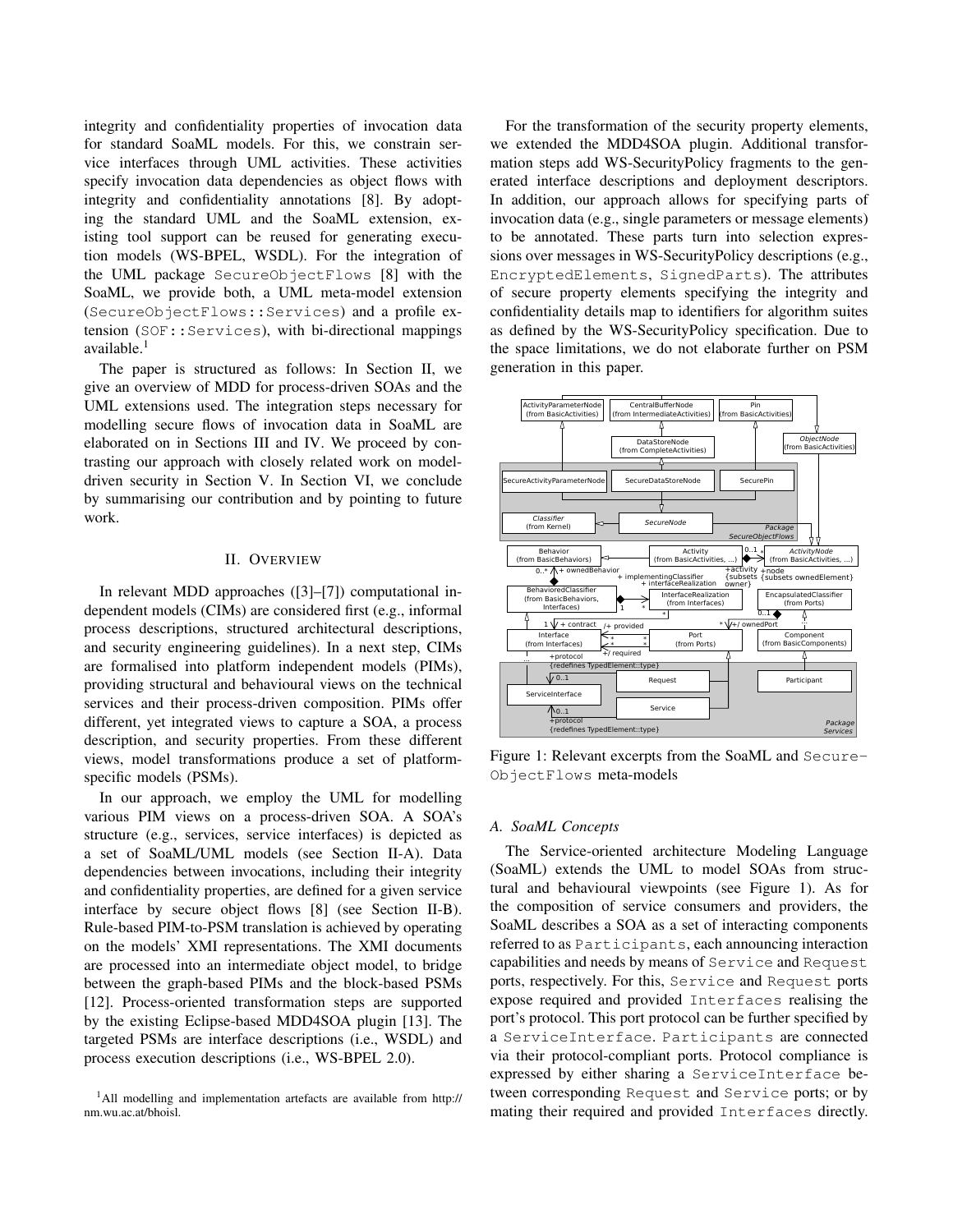integrity and confidentiality properties of invocation data for standard SoaML models. For this, we constrain service interfaces through UML activities. These activities specify invocation data dependencies as object flows with integrity and confidentiality annotations [8]. By adopting the standard UML and the SoaML extension, existing tool support can be reused for generating execution models (WS-BPEL, WSDL). For the integration of the UML package SecureObjectFlows [8] with the SoaML, we provide both, a UML meta-model extension (SecureObjectFlows::Services) and a profile extension (SOF::Services), with bi-directional mappings available. $<sup>1</sup>$ </sup>

The paper is structured as follows: In Section II, we give an overview of MDD for process-driven SOAs and the UML extensions used. The integration steps necessary for modelling secure flows of invocation data in SoaML are elaborated on in Sections III and IV. We proceed by contrasting our approach with closely related work on modeldriven security in Section V. In Section VI, we conclude by summarising our contribution and by pointing to future work.

# II. OVERVIEW

In relevant MDD approaches ([3]–[7]) computational independent models (CIMs) are considered first (e.g., informal process descriptions, structured architectural descriptions, and security engineering guidelines). In a next step, CIMs are formalised into platform independent models (PIMs), providing structural and behavioural views on the technical services and their process-driven composition. PIMs offer different, yet integrated views to capture a SOA, a process description, and security properties. From these different views, model transformations produce a set of platformspecific models (PSMs).

In our approach, we employ the UML for modelling various PIM views on a process-driven SOA. A SOA's structure (e.g., services, service interfaces) is depicted as a set of SoaML/UML models (see Section II-A). Data dependencies between invocations, including their integrity and confidentiality properties, are defined for a given service interface by secure object flows [8] (see Section II-B). Rule-based PIM-to-PSM translation is achieved by operating on the models' XMI representations. The XMI documents are processed into an intermediate object model, to bridge between the graph-based PIMs and the block-based PSMs [12]. Process-oriented transformation steps are supported by the existing Eclipse-based MDD4SOA plugin [13]. The targeted PSMs are interface descriptions (i.e., WSDL) and process execution descriptions (i.e., WS-BPEL 2.0).

For the transformation of the security property elements, we extended the MDD4SOA plugin. Additional transformation steps add WS-SecurityPolicy fragments to the generated interface descriptions and deployment descriptors. In addition, our approach allows for specifying parts of invocation data (e.g., single parameters or message elements) to be annotated. These parts turn into selection expressions over messages in WS-SecurityPolicy descriptions (e.g., EncryptedElements, SignedParts). The attributes of secure property elements specifying the integrity and confidentiality details map to identifiers for algorithm suites as defined by the WS-SecurityPolicy specification. Due to the space limitations, we do not elaborate further on PSM generation in this paper.



Figure 1: Relevant excerpts from the SoaML and Secure-ObjectFlows meta-models

### *A. SoaML Concepts*

The Service-oriented architecture Modeling Language (SoaML) extends the UML to model SOAs from structural and behavioural viewpoints (see Figure 1). As for the composition of service consumers and providers, the SoaML describes a SOA as a set of interacting components referred to as Participants, each announcing interaction capabilities and needs by means of Service and Request ports, respectively. For this, Service and Request ports expose required and provided Interfaces realising the port's protocol. This port protocol can be further specified by a ServiceInterface. Participants are connected via their protocol-compliant ports. Protocol compliance is expressed by either sharing a ServiceInterface between corresponding Request and Service ports; or by mating their required and provided Interfaces directly.

<sup>1</sup>All modelling and implementation artefacts are available from http:// nm.wu.ac.at/bhoisl.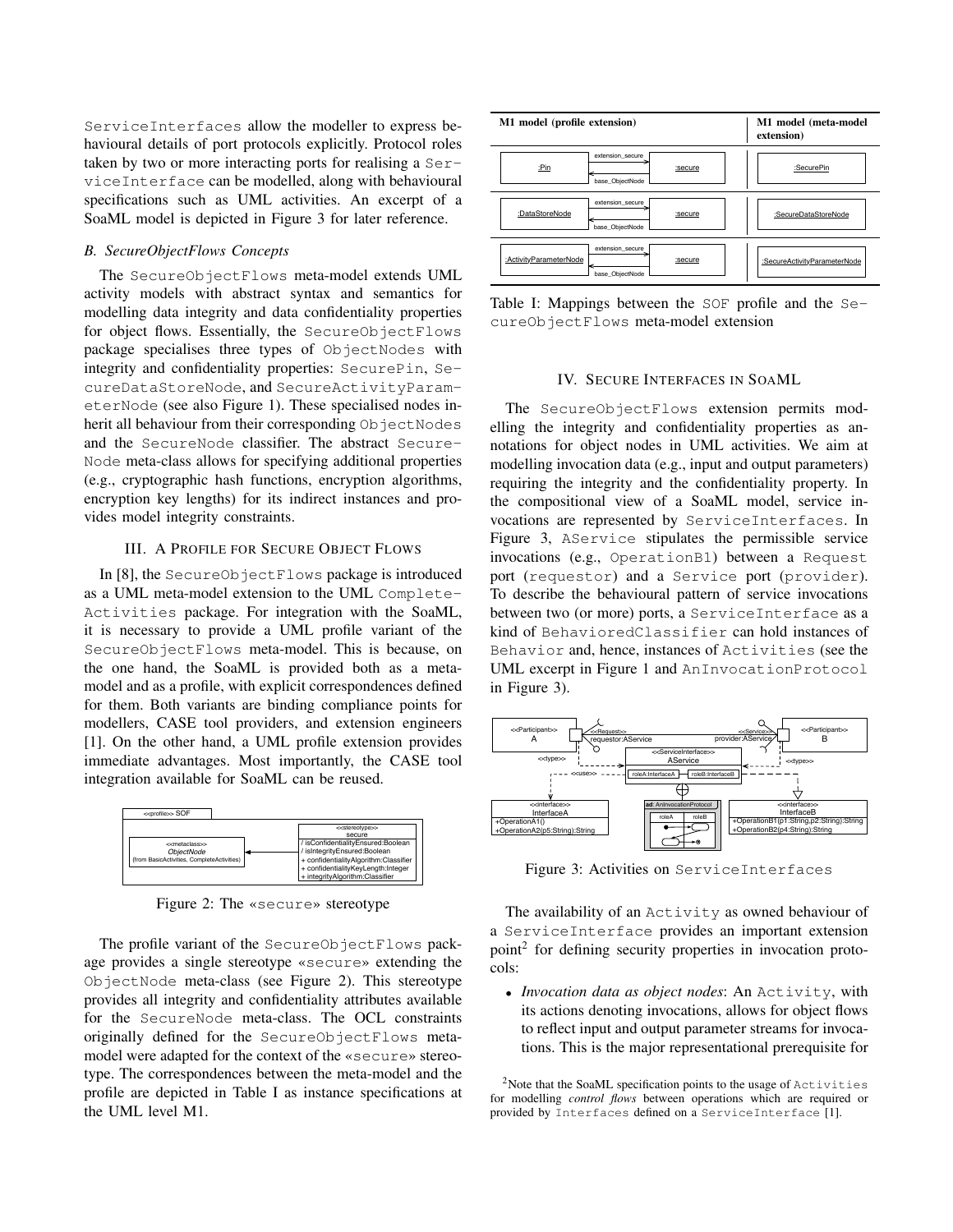ServiceInterfaces allow the modeller to express behavioural details of port protocols explicitly. Protocol roles taken by two or more interacting ports for realising a ServiceInterface can be modelled, along with behavioural specifications such as UML activities. An excerpt of a SoaML model is depicted in Figure 3 for later reference.

# *B. SecureObjectFlows Concepts*

The SecureObjectFlows meta-model extends UML activity models with abstract syntax and semantics for modelling data integrity and data confidentiality properties for object flows. Essentially, the SecureObjectFlows package specialises three types of ObjectNodes with integrity and confidentiality properties: SecurePin, SecureDataStoreNode, and SecureActivityParameterNode (see also Figure 1). These specialised nodes inherit all behaviour from their corresponding ObjectNodes and the SecureNode classifier. The abstract Secure-Node meta-class allows for specifying additional properties (e.g., cryptographic hash functions, encryption algorithms, encryption key lengths) for its indirect instances and provides model integrity constraints.

#### III. A PROFILE FOR SECURE OBJECT FLOWS

In [8], the SecureObjectFlows package is introduced as a UML meta-model extension to the UML Complete-Activities package. For integration with the SoaML, it is necessary to provide a UML profile variant of the SecureObjectFlows meta-model. This is because, on the one hand, the SoaML is provided both as a metamodel and as a profile, with explicit correspondences defined for them. Both variants are binding compliance points for modellers, CASE tool providers, and extension engineers [1]. On the other hand, a UML profile extension provides immediate advantages. Most importantly, the CASE tool integration available for SoaML can be reused.



Figure 2: The «secure» stereotype

The profile variant of the SecureObjectFlows package provides a single stereotype «secure» extending the ObjectNode meta-class (see Figure 2). This stereotype provides all integrity and confidentiality attributes available for the SecureNode meta-class. The OCL constraints originally defined for the SecureObjectFlows metamodel were adapted for the context of the «secure» stereotype. The correspondences between the meta-model and the profile are depicted in Table I as instance specifications at the UML level M1.



Table I: Mappings between the SOF profile and the SecureObjectFlows meta-model extension

#### IV. SECURE INTERFACES IN SOAML

The SecureObjectFlows extension permits modelling the integrity and confidentiality properties as annotations for object nodes in UML activities. We aim at modelling invocation data (e.g., input and output parameters) requiring the integrity and the confidentiality property. In the compositional view of a SoaML model, service invocations are represented by ServiceInterfaces. In Figure 3, AService stipulates the permissible service invocations (e.g., OperationB1) between a Request port (requestor) and a Service port (provider). To describe the behavioural pattern of service invocations between two (or more) ports, a ServiceInterface as a kind of BehavioredClassifier can hold instances of Behavior and, hence, instances of Activities (see the UML excerpt in Figure 1 and AnInvocationProtocol in Figure 3).



Figure 3: Activities on ServiceInterfaces

The availability of an Activity as owned behaviour of a ServiceInterface provides an important extension point<sup>2</sup> for defining security properties in invocation protocols:

• *Invocation data as object nodes*: An Activity, with its actions denoting invocations, allows for object flows to reflect input and output parameter streams for invocations. This is the major representational prerequisite for

<sup>&</sup>lt;sup>2</sup>Note that the SoaML specification points to the usage of Activities for modelling *control flows* between operations which are required or provided by Interfaces defined on a ServiceInterface [1].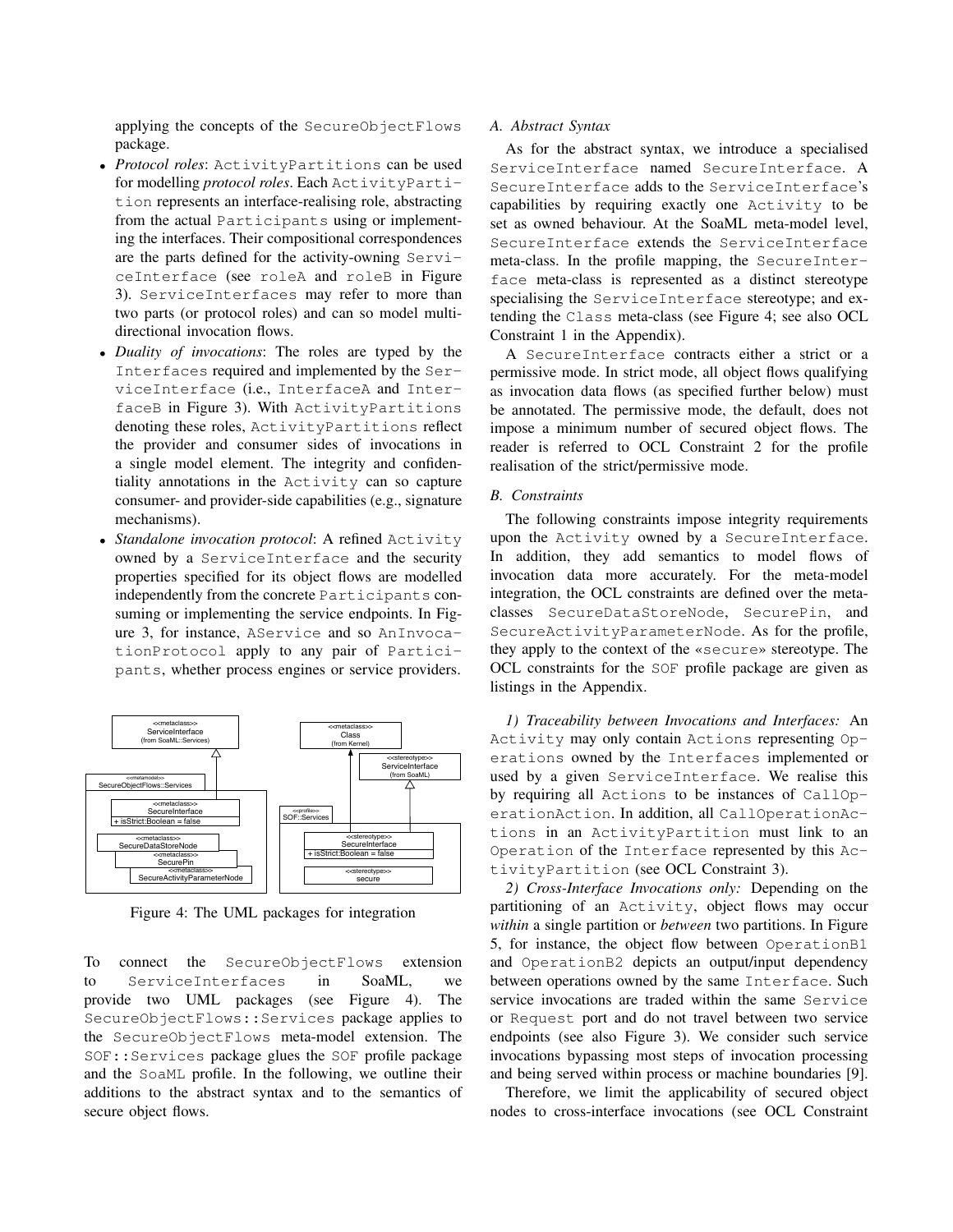applying the concepts of the SecureObjectFlows package.

- *Protocol roles*: ActivityPartitions can be used for modelling *protocol roles*. Each ActivityPartition represents an interface-realising role, abstracting from the actual Participants using or implementing the interfaces. Their compositional correspondences are the parts defined for the activity-owning ServiceInterface (see roleA and roleB in Figure 3). ServiceInterfaces may refer to more than two parts (or protocol roles) and can so model multidirectional invocation flows.
- *Duality of invocations*: The roles are typed by the Interfaces required and implemented by the ServiceInterface (i.e., InterfaceA and InterfaceB in Figure 3). With ActivityPartitions denoting these roles, ActivityPartitions reflect the provider and consumer sides of invocations in a single model element. The integrity and confidentiality annotations in the Activity can so capture consumer- and provider-side capabilities (e.g., signature mechanisms).
- Standalone invocation protocol: A refined Activity owned by a ServiceInterface and the security properties specified for its object flows are modelled independently from the concrete Participants consuming or implementing the service endpoints. In Figure 3, for instance, AService and so AnInvocationProtocol apply to any pair of Participants, whether process engines or service providers.



Figure 4: The UML packages for integration

To connect the SecureObjectFlows extension to ServiceInterfaces in SoaML, we provide two UML packages (see Figure 4). The SecureObjectFlows::Services package applies to the SecureObjectFlows meta-model extension. The SOF::Services package glues the SOF profile package and the SoaML profile. In the following, we outline their additions to the abstract syntax and to the semantics of secure object flows.

# *A. Abstract Syntax*

As for the abstract syntax, we introduce a specialised ServiceInterface named SecureInterface. A SecureInterface adds to the ServiceInterface's capabilities by requiring exactly one Activity to be set as owned behaviour. At the SoaML meta-model level, SecureInterface extends the ServiceInterface meta-class. In the profile mapping, the SecureInterface meta-class is represented as a distinct stereotype specialising the ServiceInterface stereotype; and extending the Class meta-class (see Figure 4; see also OCL Constraint 1 in the Appendix).

A SecureInterface contracts either a strict or a permissive mode. In strict mode, all object flows qualifying as invocation data flows (as specified further below) must be annotated. The permissive mode, the default, does not impose a minimum number of secured object flows. The reader is referred to OCL Constraint 2 for the profile realisation of the strict/permissive mode.

#### *B. Constraints*

The following constraints impose integrity requirements upon the Activity owned by a SecureInterface. In addition, they add semantics to model flows of invocation data more accurately. For the meta-model integration, the OCL constraints are defined over the metaclasses SecureDataStoreNode, SecurePin, and SecureActivityParameterNode. As for the profile, they apply to the context of the «secure» stereotype. The OCL constraints for the SOF profile package are given as listings in the Appendix.

*1) Traceability between Invocations and Interfaces:* An Activity may only contain Actions representing Operations owned by the Interfaces implemented or used by a given ServiceInterface. We realise this by requiring all Actions to be instances of CallOperationAction. In addition, all CallOperationActions in an ActivityPartition must link to an Operation of the Interface represented by this ActivityPartition (see OCL Constraint 3).

*2) Cross-Interface Invocations only:* Depending on the partitioning of an Activity, object flows may occur *within* a single partition or *between* two partitions. In Figure 5, for instance, the object flow between OperationB1 and OperationB2 depicts an output/input dependency between operations owned by the same Interface. Such service invocations are traded within the same Service or Request port and do not travel between two service endpoints (see also Figure 3). We consider such service invocations bypassing most steps of invocation processing and being served within process or machine boundaries [9].

Therefore, we limit the applicability of secured object nodes to cross-interface invocations (see OCL Constraint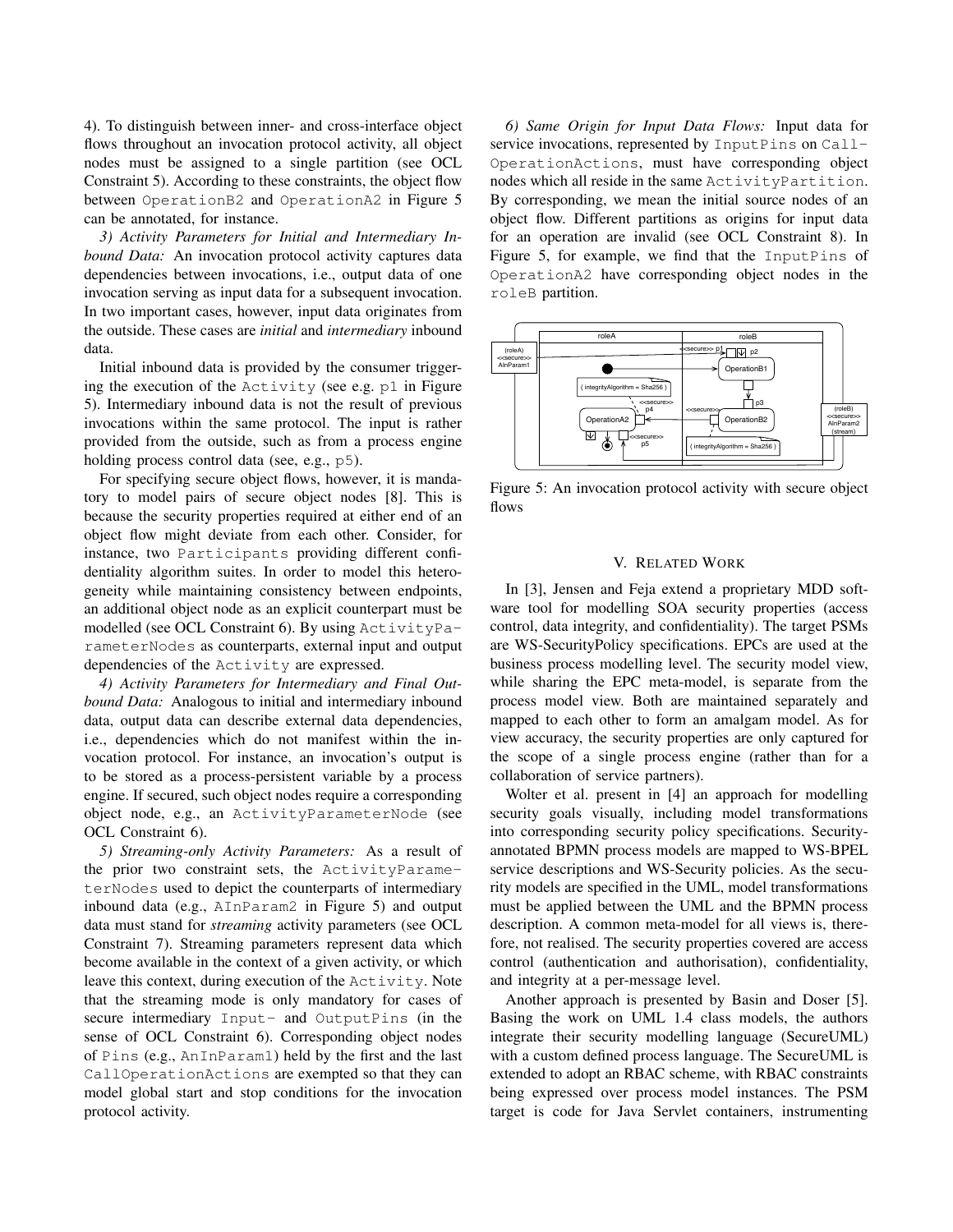4). To distinguish between inner- and cross-interface object flows throughout an invocation protocol activity, all object nodes must be assigned to a single partition (see OCL Constraint 5). According to these constraints, the object flow between OperationB2 and OperationA2 in Figure 5 can be annotated, for instance.

*3) Activity Parameters for Initial and Intermediary Inbound Data:* An invocation protocol activity captures data dependencies between invocations, i.e., output data of one invocation serving as input data for a subsequent invocation. In two important cases, however, input data originates from the outside. These cases are *initial* and *intermediary* inbound data.

Initial inbound data is provided by the consumer triggering the execution of the Activity (see e.g. p1 in Figure 5). Intermediary inbound data is not the result of previous invocations within the same protocol. The input is rather provided from the outside, such as from a process engine holding process control data (see, e.g., p5).

For specifying secure object flows, however, it is mandatory to model pairs of secure object nodes [8]. This is because the security properties required at either end of an object flow might deviate from each other. Consider, for instance, two Participants providing different confidentiality algorithm suites. In order to model this heterogeneity while maintaining consistency between endpoints, an additional object node as an explicit counterpart must be modelled (see OCL Constraint 6). By using ActivityParameterNodes as counterparts, external input and output dependencies of the Activity are expressed.

*4) Activity Parameters for Intermediary and Final Outbound Data:* Analogous to initial and intermediary inbound data, output data can describe external data dependencies, i.e., dependencies which do not manifest within the invocation protocol. For instance, an invocation's output is to be stored as a process-persistent variable by a process engine. If secured, such object nodes require a corresponding object node, e.g., an ActivityParameterNode (see OCL Constraint 6).

*5) Streaming-only Activity Parameters:* As a result of the prior two constraint sets, the ActivityParameterNodes used to depict the counterparts of intermediary inbound data (e.g., AInParam2 in Figure 5) and output data must stand for *streaming* activity parameters (see OCL Constraint 7). Streaming parameters represent data which become available in the context of a given activity, or which leave this context, during execution of the Activity. Note that the streaming mode is only mandatory for cases of secure intermediary Input- and OutputPins (in the sense of OCL Constraint 6). Corresponding object nodes of Pins (e.g., AnInParam1) held by the first and the last CallOperationActions are exempted so that they can model global start and stop conditions for the invocation protocol activity.

*6) Same Origin for Input Data Flows:* Input data for service invocations, represented by InputPins on Call-OperationActions, must have corresponding object nodes which all reside in the same ActivityPartition. By corresponding, we mean the initial source nodes of an object flow. Different partitions as origins for input data for an operation are invalid (see OCL Constraint 8). In Figure 5, for example, we find that the InputPins of OperationA2 have corresponding object nodes in the roleB partition.



Figure 5: An invocation protocol activity with secure object flows

# V. RELATED WORK

In [3], Jensen and Feja extend a proprietary MDD software tool for modelling SOA security properties (access control, data integrity, and confidentiality). The target PSMs are WS-SecurityPolicy specifications. EPCs are used at the business process modelling level. The security model view, while sharing the EPC meta-model, is separate from the process model view. Both are maintained separately and mapped to each other to form an amalgam model. As for view accuracy, the security properties are only captured for the scope of a single process engine (rather than for a collaboration of service partners).

Wolter et al. present in [4] an approach for modelling security goals visually, including model transformations into corresponding security policy specifications. Securityannotated BPMN process models are mapped to WS-BPEL service descriptions and WS-Security policies. As the security models are specified in the UML, model transformations must be applied between the UML and the BPMN process description. A common meta-model for all views is, therefore, not realised. The security properties covered are access control (authentication and authorisation), confidentiality, and integrity at a per-message level.

Another approach is presented by Basin and Doser [5]. Basing the work on UML 1.4 class models, the authors integrate their security modelling language (SecureUML) with a custom defined process language. The SecureUML is extended to adopt an RBAC scheme, with RBAC constraints being expressed over process model instances. The PSM target is code for Java Servlet containers, instrumenting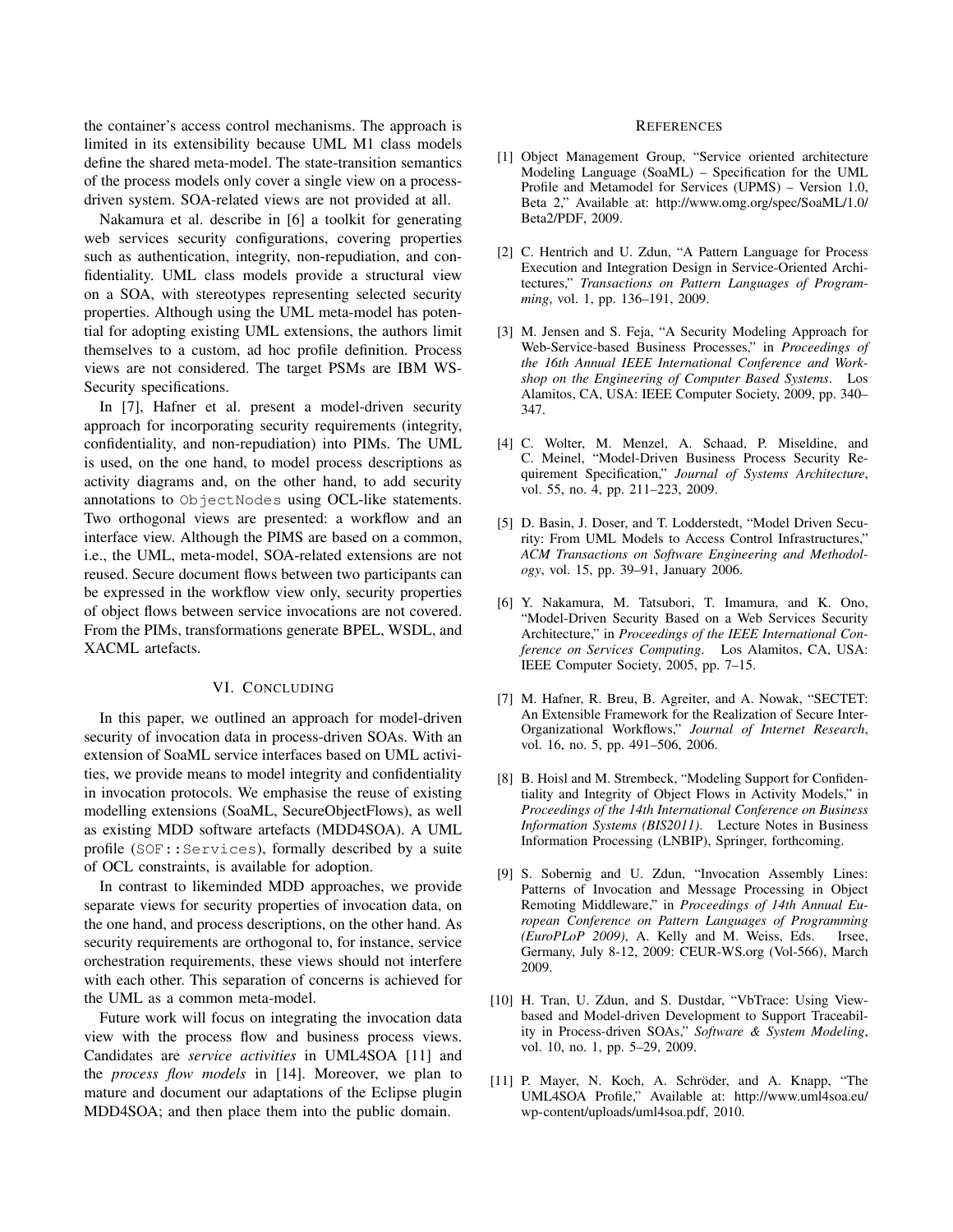the container's access control mechanisms. The approach is limited in its extensibility because UML M1 class models define the shared meta-model. The state-transition semantics of the process models only cover a single view on a processdriven system. SOA-related views are not provided at all.

Nakamura et al. describe in [6] a toolkit for generating web services security configurations, covering properties such as authentication, integrity, non-repudiation, and confidentiality. UML class models provide a structural view on a SOA, with stereotypes representing selected security properties. Although using the UML meta-model has potential for adopting existing UML extensions, the authors limit themselves to a custom, ad hoc profile definition. Process views are not considered. The target PSMs are IBM WS-Security specifications.

In [7], Hafner et al. present a model-driven security approach for incorporating security requirements (integrity, confidentiality, and non-repudiation) into PIMs. The UML is used, on the one hand, to model process descriptions as activity diagrams and, on the other hand, to add security annotations to ObjectNodes using OCL-like statements. Two orthogonal views are presented: a workflow and an interface view. Although the PIMS are based on a common, i.e., the UML, meta-model, SOA-related extensions are not reused. Secure document flows between two participants can be expressed in the workflow view only, security properties of object flows between service invocations are not covered. From the PIMs, transformations generate BPEL, WSDL, and XACML artefacts.

#### VI. CONCLUDING

In this paper, we outlined an approach for model-driven security of invocation data in process-driven SOAs. With an extension of SoaML service interfaces based on UML activities, we provide means to model integrity and confidentiality in invocation protocols. We emphasise the reuse of existing modelling extensions (SoaML, SecureObjectFlows), as well as existing MDD software artefacts (MDD4SOA). A UML profile (SOF::Services), formally described by a suite of OCL constraints, is available for adoption.

In contrast to likeminded MDD approaches, we provide separate views for security properties of invocation data, on the one hand, and process descriptions, on the other hand. As security requirements are orthogonal to, for instance, service orchestration requirements, these views should not interfere with each other. This separation of concerns is achieved for the UML as a common meta-model.

Future work will focus on integrating the invocation data view with the process flow and business process views. Candidates are *service activities* in UML4SOA [11] and the *process flow models* in [14]. Moreover, we plan to mature and document our adaptations of the Eclipse plugin MDD4SOA; and then place them into the public domain.

#### **REFERENCES**

- [1] Object Management Group, "Service oriented architecture Modeling Language (SoaML) – Specification for the UML Profile and Metamodel for Services (UPMS) – Version 1.0, Beta 2," Available at: http://www.omg.org/spec/SoaML/1.0/ Beta2/PDF, 2009.
- [2] C. Hentrich and U. Zdun, "A Pattern Language for Process Execution and Integration Design in Service-Oriented Architectures," *Transactions on Pattern Languages of Programming*, vol. 1, pp. 136–191, 2009.
- [3] M. Jensen and S. Feja, "A Security Modeling Approach for Web-Service-based Business Processes," in *Proceedings of the 16th Annual IEEE International Conference and Workshop on the Engineering of Computer Based Systems*. Los Alamitos, CA, USA: IEEE Computer Society, 2009, pp. 340– 347.
- [4] C. Wolter, M. Menzel, A. Schaad, P. Miseldine, and C. Meinel, "Model-Driven Business Process Security Requirement Specification," *Journal of Systems Architecture*, vol. 55, no. 4, pp. 211–223, 2009.
- [5] D. Basin, J. Doser, and T. Lodderstedt, "Model Driven Security: From UML Models to Access Control Infrastructures," *ACM Transactions on Software Engineering and Methodology*, vol. 15, pp. 39–91, January 2006.
- [6] Y. Nakamura, M. Tatsubori, T. Imamura, and K. Ono, "Model-Driven Security Based on a Web Services Security Architecture," in *Proceedings of the IEEE International Conference on Services Computing*. Los Alamitos, CA, USA: IEEE Computer Society, 2005, pp. 7–15.
- [7] M. Hafner, R. Breu, B. Agreiter, and A. Nowak, "SECTET: An Extensible Framework for the Realization of Secure Inter-Organizational Workflows," *Journal of Internet Research*, vol. 16, no. 5, pp. 491–506, 2006.
- [8] B. Hoisl and M. Strembeck, "Modeling Support for Confidentiality and Integrity of Object Flows in Activity Models," in *Proceedings of the 14th International Conference on Business Information Systems (BIS2011)*. Lecture Notes in Business Information Processing (LNBIP), Springer, forthcoming.
- [9] S. Sobernig and U. Zdun, "Invocation Assembly Lines: Patterns of Invocation and Message Processing in Object Remoting Middleware," in *Proceedings of 14th Annual European Conference on Pattern Languages of Programming (EuroPLoP 2009)*, A. Kelly and M. Weiss, Eds. Irsee, Germany, July 8-12, 2009: CEUR-WS.org (Vol-566), March 2009.
- [10] H. Tran, U. Zdun, and S. Dustdar, "VbTrace: Using Viewbased and Model-driven Development to Support Traceability in Process-driven SOAs," *Software & System Modeling*, vol. 10, no. 1, pp. 5–29, 2009.
- [11] P. Mayer, N. Koch, A. Schröder, and A. Knapp, "The UML4SOA Profile," Available at: http://www.uml4soa.eu/ wp-content/uploads/uml4soa.pdf, 2010.